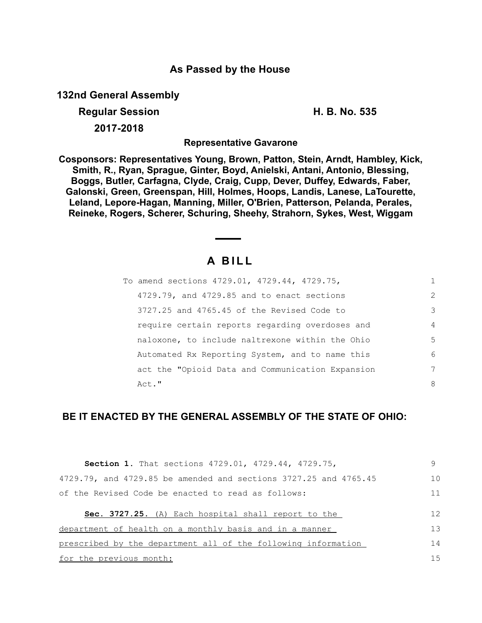## **As Passed by the House**

**132nd General Assembly**

# **Regular Session H. B. No. 535 2017-2018**

**Representative Gavarone**

**Cosponsors: Representatives Young, Brown, Patton, Stein, Arndt, Hambley, Kick, Smith, R., Ryan, Sprague, Ginter, Boyd, Anielski, Antani, Antonio, Blessing, Boggs, Butler, Carfagna, Clyde, Craig, Cupp, Dever, Duffey, Edwards, Faber, Galonski, Green, Greenspan, Hill, Holmes, Hoops, Landis, Lanese, LaTourette, Leland, Lepore-Hagan, Manning, Miller, O'Brien, Patterson, Pelanda, Perales, Reineke, Rogers, Scherer, Schuring, Sheehy, Strahorn, Sykes, West, Wiggam**

# **A B I L L**

| To amend sections 4729.01, 4729.44, 4729.75,     | 1              |
|--------------------------------------------------|----------------|
| 4729.79, and 4729.85 and to enact sections       | 2              |
| 3727.25 and 4765.45 of the Revised Code to       | 3              |
| require certain reports regarding overdoses and  | $\overline{4}$ |
| naloxone, to include naltrexone within the Ohio  | .5             |
| Automated Rx Reporting System, and to name this  | 6              |
| act the "Opioid Data and Communication Expansion | 7              |
| Act."                                            | 8              |

# **BE IT ENACTED BY THE GENERAL ASSEMBLY OF THE STATE OF OHIO:**

| <b>Section 1.</b> That sections 4729.01, 4729.44, 4729.75,       | q              |
|------------------------------------------------------------------|----------------|
| 4729.79, and 4729.85 be amended and sections 3727.25 and 4765.45 | 1 <sub>0</sub> |
| of the Revised Code be enacted to read as follows:               | 11             |
| <b>Sec. 3727.25.</b> (A) Each hospital shall report to the       | 12             |
| department of health on a monthly basis and in a manner          | 13             |
| prescribed by the department all of the following information    | 14             |
| for the previous month:                                          | 1.5            |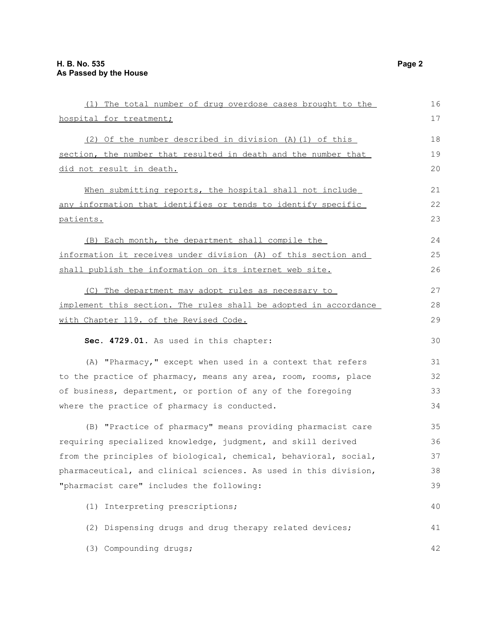| (1) The total number of drug overdose cases brought to the       | 16 |
|------------------------------------------------------------------|----|
| hospital for treatment;                                          | 17 |
| (2) Of the number described in division (A) (1) of this          | 18 |
| section, the number that resulted in death and the number that   | 19 |
| did not result in death.                                         | 20 |
| When submitting reports, the hospital shall not include          | 21 |
| any information that identifies or tends to identify specific    | 22 |
| patients.                                                        | 23 |
| (B) Each month, the department shall compile the                 | 24 |
| information it receives under division (A) of this section and   | 25 |
| shall publish the information on its internet web site.          | 26 |
| (C) The department may adopt rules as necessary to               | 27 |
| implement this section. The rules shall be adopted in accordance | 28 |
| with Chapter 119. of the Revised Code.                           | 29 |
| Sec. 4729.01. As used in this chapter:                           | 30 |
| (A) "Pharmacy," except when used in a context that refers        | 31 |
| to the practice of pharmacy, means any area, room, rooms, place  | 32 |
| of business, department, or portion of any of the foregoing      | 33 |
| where the practice of pharmacy is conducted.                     | 34 |
| (B) "Practice of pharmacy" means providing pharmacist care       | 35 |
| requiring specialized knowledge, judgment, and skill derived     | 36 |
| from the principles of biological, chemical, behavioral, social, | 37 |
| pharmaceutical, and clinical sciences. As used in this division, | 38 |
| "pharmacist care" includes the following:                        | 39 |
| (1) Interpreting prescriptions;                                  | 40 |
| (2) Dispensing drugs and drug therapy related devices;           | 41 |
| (3) Compounding drugs;                                           | 42 |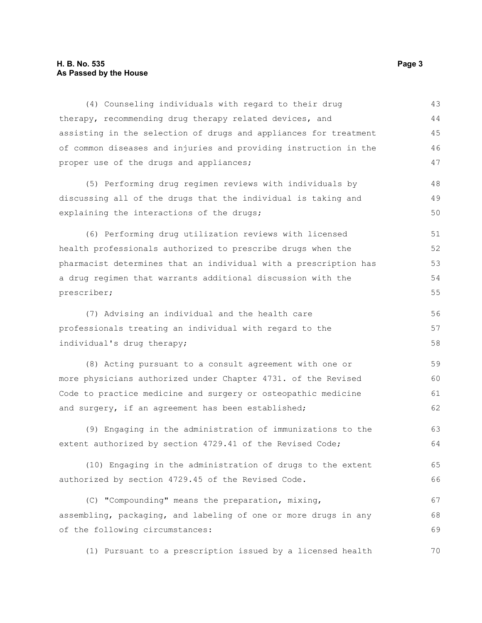### **H. B. No. 535 Page 3 As Passed by the House**

| (4) Counseling individuals with regard to their drug             | 43 |
|------------------------------------------------------------------|----|
| therapy, recommending drug therapy related devices, and          | 44 |
| assisting in the selection of drugs and appliances for treatment | 45 |
| of common diseases and injuries and providing instruction in the | 46 |
| proper use of the drugs and appliances;                          | 47 |
| (5) Performing drug regimen reviews with individuals by          | 48 |
| discussing all of the drugs that the individual is taking and    | 49 |
| explaining the interactions of the drugs;                        | 50 |
| (6) Performing drug utilization reviews with licensed            | 51 |
| health professionals authorized to prescribe drugs when the      | 52 |
| pharmacist determines that an individual with a prescription has | 53 |
| a drug regimen that warrants additional discussion with the      | 54 |
| prescriber;                                                      | 55 |
| (7) Advising an individual and the health care                   | 56 |
| professionals treating an individual with regard to the          | 57 |
| individual's drug therapy;                                       | 58 |
| (8) Acting pursuant to a consult agreement with one or           | 59 |
| more physicians authorized under Chapter 4731. of the Revised    | 60 |
| Code to practice medicine and surgery or osteopathic medicine    | 61 |
| and surgery, if an agreement has been established;               | 62 |
| (9) Engaging in the administration of immunizations to the       | 63 |
| extent authorized by section 4729.41 of the Revised Code;        | 64 |
| (10) Engaging in the administration of drugs to the extent       | 65 |
| authorized by section 4729.45 of the Revised Code.               | 66 |
| (C) "Compounding" means the preparation, mixing,                 | 67 |
| assembling, packaging, and labeling of one or more drugs in any  | 68 |
| of the following circumstances:                                  | 69 |
| (1) Pursuant to a prescription issued by a licensed health       | 70 |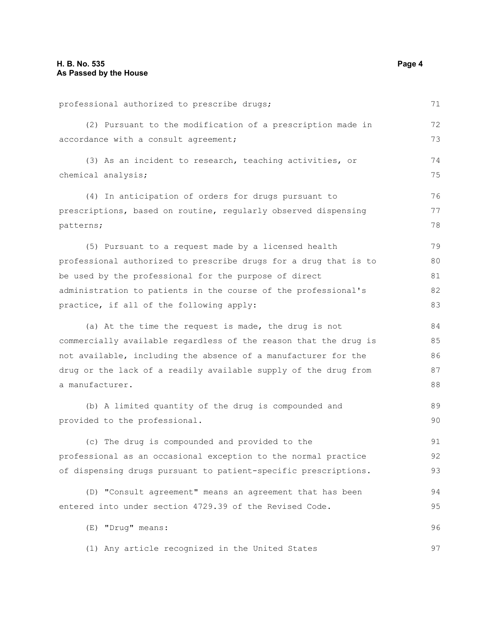professional authorized to prescribe drugs; (2) Pursuant to the modification of a prescription made in accordance with a consult agreement; (3) As an incident to research, teaching activities, or chemical analysis; (4) In anticipation of orders for drugs pursuant to prescriptions, based on routine, regularly observed dispensing patterns; (5) Pursuant to a request made by a licensed health professional authorized to prescribe drugs for a drug that is to be used by the professional for the purpose of direct administration to patients in the course of the professional's practice, if all of the following apply: (a) At the time the request is made, the drug is not commercially available regardless of the reason that the drug is not available, including the absence of a manufacturer for the drug or the lack of a readily available supply of the drug from a manufacturer. (b) A limited quantity of the drug is compounded and provided to the professional. (c) The drug is compounded and provided to the professional as an occasional exception to the normal practice of dispensing drugs pursuant to patient-specific prescriptions. (D) "Consult agreement" means an agreement that has been entered into under section 4729.39 of the Revised Code. (E) "Drug" means: (1) Any article recognized in the United States 71 72 73 74 75 76 77 78 79 80 81 82 83 84 85 86 87 88 89 90 91 92 93 94 95 96 97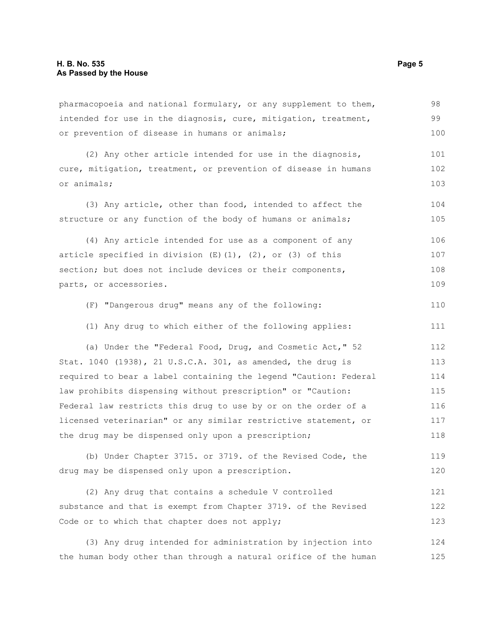pharmacopoeia and national formulary, or any supplement to them, intended for use in the diagnosis, cure, mitigation, treatment, or prevention of disease in humans or animals;

(2) Any other article intended for use in the diagnosis, cure, mitigation, treatment, or prevention of disease in humans or animals; 101 102 103

(3) Any article, other than food, intended to affect the structure or any function of the body of humans or animals;

(4) Any article intended for use as a component of any article specified in division  $(E)$   $(1)$ ,  $(2)$ , or  $(3)$  of this section; but does not include devices or their components, parts, or accessories. 106 107 108 109

(F) "Dangerous drug" means any of the following: 110

(1) Any drug to which either of the following applies: 111

(a) Under the "Federal Food, Drug, and Cosmetic Act," 52 Stat. 1040 (1938), 21 U.S.C.A. 301, as amended, the drug is required to bear a label containing the legend "Caution: Federal law prohibits dispensing without prescription" or "Caution: Federal law restricts this drug to use by or on the order of a licensed veterinarian" or any similar restrictive statement, or the drug may be dispensed only upon a prescription; 112 113 114 115 116 117 118

(b) Under Chapter 3715. or 3719. of the Revised Code, the drug may be dispensed only upon a prescription. 119 120

(2) Any drug that contains a schedule V controlled substance and that is exempt from Chapter 3719. of the Revised Code or to which that chapter does not apply; 121 122 123

(3) Any drug intended for administration by injection into the human body other than through a natural orifice of the human 124 125

98 99 100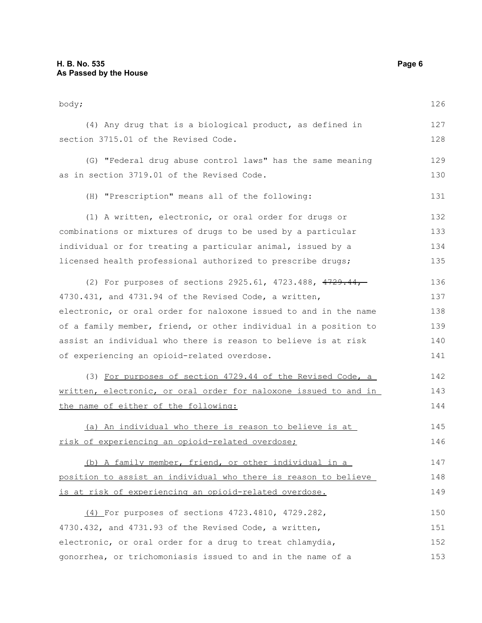| body;                                                            | 126 |
|------------------------------------------------------------------|-----|
| (4) Any drug that is a biological product, as defined in         | 127 |
| section 3715.01 of the Revised Code.                             | 128 |
| (G) "Federal drug abuse control laws" has the same meaning       | 129 |
| as in section 3719.01 of the Revised Code.                       | 130 |
| (H) "Prescription" means all of the following:                   | 131 |
| (1) A written, electronic, or oral order for drugs or            | 132 |
| combinations or mixtures of drugs to be used by a particular     | 133 |
| individual or for treating a particular animal, issued by a      | 134 |
| licensed health professional authorized to prescribe drugs;      | 135 |
| (2) For purposes of sections 2925.61, 4723.488, 4729.44,         | 136 |
| 4730.431, and 4731.94 of the Revised Code, a written,            | 137 |
| electronic, or oral order for naloxone issued to and in the name | 138 |
| of a family member, friend, or other individual in a position to | 139 |
| assist an individual who there is reason to believe is at risk   | 140 |
| of experiencing an opioid-related overdose.                      | 141 |
| (3) For purposes of section 4729.44 of the Revised Code, a       | 142 |
| written, electronic, or oral order for naloxone issued to and in | 143 |
| the name of either of the following:                             | 144 |
| (a) An individual who there is reason to believe is at           | 145 |
| risk of experiencing an opioid-related overdose;                 | 146 |
| (b) A family member, friend, or other individual in a            | 147 |
| position to assist an individual who there is reason to believe  | 148 |
| is at risk of experiencing an opioid-related overdose.           | 149 |
| (4) For purposes of sections 4723.4810, 4729.282,                | 150 |
| 4730.432, and 4731.93 of the Revised Code, a written,            | 151 |
| electronic, or oral order for a drug to treat chlamydia,         | 152 |
| gonorrhea, or trichomoniasis issued to and in the name of a      | 153 |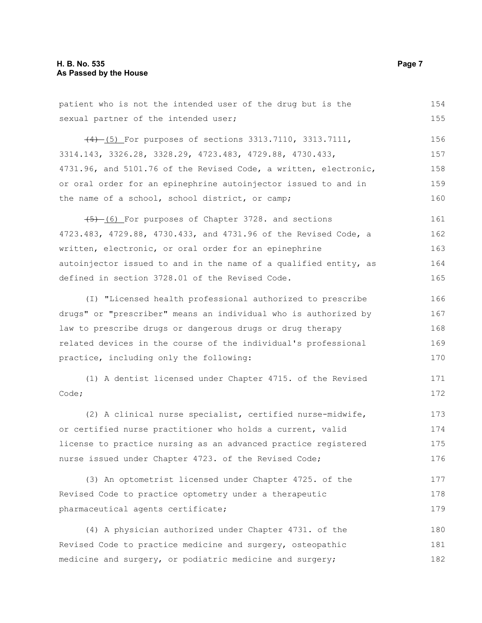### **H. B. No. 535 Page 7 As Passed by the House**

patient who is not the intended user of the drug but is the sexual partner of the intended user; (4) (5) For purposes of sections 3313.7110, 3313.7111, 3314.143, 3326.28, 3328.29, 4723.483, 4729.88, 4730.433, 4731.96, and 5101.76 of the Revised Code, a written, electronic, or oral order for an epinephrine autoinjector issued to and in the name of a school, school district, or camp;  $(5)$  (6) For purposes of Chapter 3728. and sections 4723.483, 4729.88, 4730.433, and 4731.96 of the Revised Code, a written, electronic, or oral order for an epinephrine autoinjector issued to and in the name of a qualified entity, as defined in section 3728.01 of the Revised Code. (I) "Licensed health professional authorized to prescribe drugs" or "prescriber" means an individual who is authorized by law to prescribe drugs or dangerous drugs or drug therapy related devices in the course of the individual's professional practice, including only the following: (1) A dentist licensed under Chapter 4715. of the Revised Code; (2) A clinical nurse specialist, certified nurse-midwife, or certified nurse practitioner who holds a current, valid license to practice nursing as an advanced practice registered nurse issued under Chapter 4723. of the Revised Code; (3) An optometrist licensed under Chapter 4725. of the Revised Code to practice optometry under a therapeutic pharmaceutical agents certificate; (4) A physician authorized under Chapter 4731. of the Revised Code to practice medicine and surgery, osteopathic medicine and surgery, or podiatric medicine and surgery; 154 155 156 157 158 159 160 161 162 163 164 165 166 167 168 169 170 171 172 173 174 175 176 177 178 179 180 181 182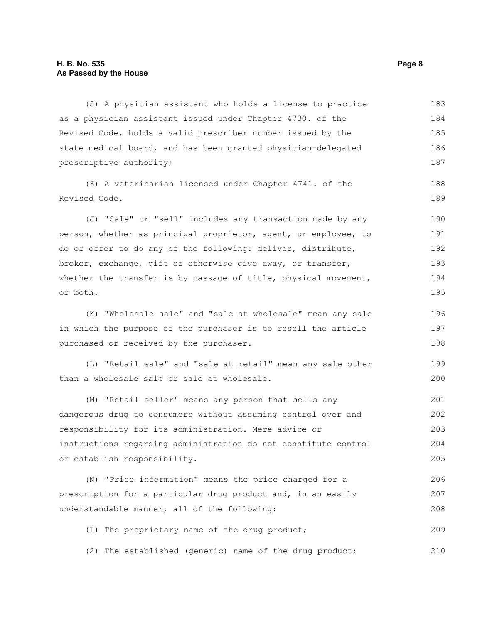#### **H. B. No. 535 Page 8 As Passed by the House**

(5) A physician assistant who holds a license to practice as a physician assistant issued under Chapter 4730. of the Revised Code, holds a valid prescriber number issued by the state medical board, and has been granted physician-delegated prescriptive authority; (6) A veterinarian licensed under Chapter 4741. of the Revised Code. (J) "Sale" or "sell" includes any transaction made by any person, whether as principal proprietor, agent, or employee, to do or offer to do any of the following: deliver, distribute, broker, exchange, gift or otherwise give away, or transfer, whether the transfer is by passage of title, physical movement, or both. (K) "Wholesale sale" and "sale at wholesale" mean any sale in which the purpose of the purchaser is to resell the article 183 184 185 186 187 188 189 190 191 192 193 194 195 196 197

(L) "Retail sale" and "sale at retail" mean any sale other than a wholesale sale or sale at wholesale. 199 200

purchased or received by the purchaser.

(M) "Retail seller" means any person that sells any dangerous drug to consumers without assuming control over and responsibility for its administration. Mere advice or instructions regarding administration do not constitute control or establish responsibility. 201 202 203 204 205

(N) "Price information" means the price charged for a prescription for a particular drug product and, in an easily understandable manner, all of the following: 206 207 208

(1) The proprietary name of the drug product; 209

(2) The established (generic) name of the drug product; 210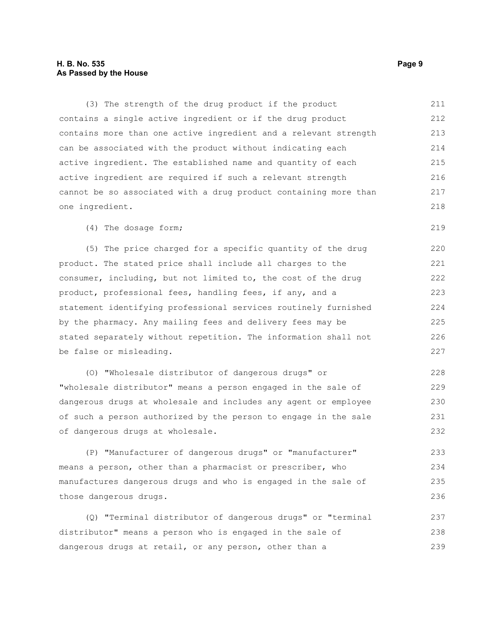### **H. B. No. 535 Page 9 As Passed by the House**

(3) The strength of the drug product if the product contains a single active ingredient or if the drug product contains more than one active ingredient and a relevant strength can be associated with the product without indicating each active ingredient. The established name and quantity of each active ingredient are required if such a relevant strength cannot be so associated with a drug product containing more than one ingredient. 211 212 213 214 215 216 217 218

(4) The dosage form;

(5) The price charged for a specific quantity of the drug product. The stated price shall include all charges to the consumer, including, but not limited to, the cost of the drug product, professional fees, handling fees, if any, and a statement identifying professional services routinely furnished by the pharmacy. Any mailing fees and delivery fees may be stated separately without repetition. The information shall not be false or misleading.

(O) "Wholesale distributor of dangerous drugs" or "wholesale distributor" means a person engaged in the sale of dangerous drugs at wholesale and includes any agent or employee of such a person authorized by the person to engage in the sale of dangerous drugs at wholesale.

(P) "Manufacturer of dangerous drugs" or "manufacturer" means a person, other than a pharmacist or prescriber, who manufactures dangerous drugs and who is engaged in the sale of those dangerous drugs. 233 234 235 236

(Q) "Terminal distributor of dangerous drugs" or "terminal distributor" means a person who is engaged in the sale of dangerous drugs at retail, or any person, other than a 237 238 239

219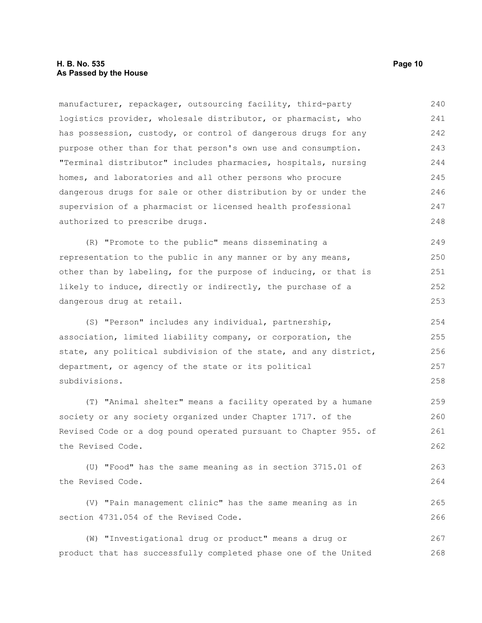### **H. B. No. 535 Page 10 As Passed by the House**

manufacturer, repackager, outsourcing facility, third-party logistics provider, wholesale distributor, or pharmacist, who has possession, custody, or control of dangerous drugs for any purpose other than for that person's own use and consumption. "Terminal distributor" includes pharmacies, hospitals, nursing homes, and laboratories and all other persons who procure dangerous drugs for sale or other distribution by or under the supervision of a pharmacist or licensed health professional authorized to prescribe drugs. (R) "Promote to the public" means disseminating a representation to the public in any manner or by any means, 240 241 242 243 244 245 246 247 248 249 250

other than by labeling, for the purpose of inducing, or that is likely to induce, directly or indirectly, the purchase of a dangerous drug at retail. 251 252 253

(S) "Person" includes any individual, partnership, association, limited liability company, or corporation, the state, any political subdivision of the state, and any district, department, or agency of the state or its political subdivisions.

(T) "Animal shelter" means a facility operated by a humane society or any society organized under Chapter 1717. of the Revised Code or a dog pound operated pursuant to Chapter 955. of the Revised Code. 259 260 261 262

(U) "Food" has the same meaning as in section 3715.01 of the Revised Code. 263 264

(V) "Pain management clinic" has the same meaning as in section 4731.054 of the Revised Code. 265 266

(W) "Investigational drug or product" means a drug or product that has successfully completed phase one of the United 267 268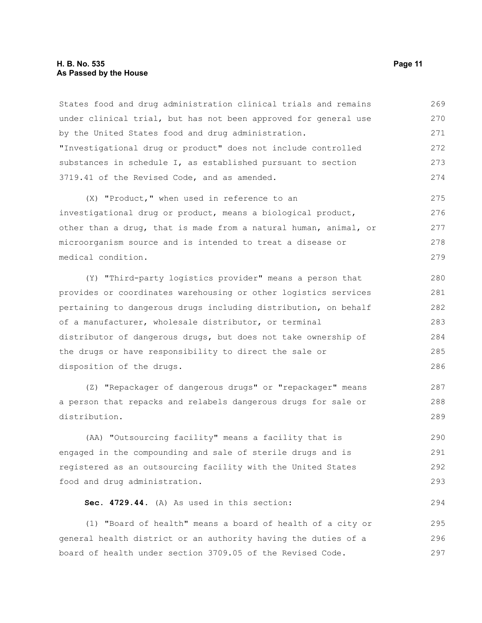#### **H. B. No. 535 Page 11 As Passed by the House**

States food and drug administration clinical trials and remains under clinical trial, but has not been approved for general use by the United States food and drug administration. "Investigational drug or product" does not include controlled substances in schedule I, as established pursuant to section 3719.41 of the Revised Code, and as amended. 269 270 271 272 273 274

(X) "Product," when used in reference to an investigational drug or product, means a biological product, other than a drug, that is made from a natural human, animal, or microorganism source and is intended to treat a disease or medical condition. 275 276 277 278 279

(Y) "Third-party logistics provider" means a person that provides or coordinates warehousing or other logistics services pertaining to dangerous drugs including distribution, on behalf of a manufacturer, wholesale distributor, or terminal distributor of dangerous drugs, but does not take ownership of the drugs or have responsibility to direct the sale or disposition of the drugs. 280 281 282 283 284 285 286

(Z) "Repackager of dangerous drugs" or "repackager" means a person that repacks and relabels dangerous drugs for sale or distribution.

(AA) "Outsourcing facility" means a facility that is engaged in the compounding and sale of sterile drugs and is registered as an outsourcing facility with the United States food and drug administration. 290 291 292 293

**Sec. 4729.44.** (A) As used in this section:

(1) "Board of health" means a board of health of a city or general health district or an authority having the duties of a board of health under section 3709.05 of the Revised Code. 295 296 297

287 288 289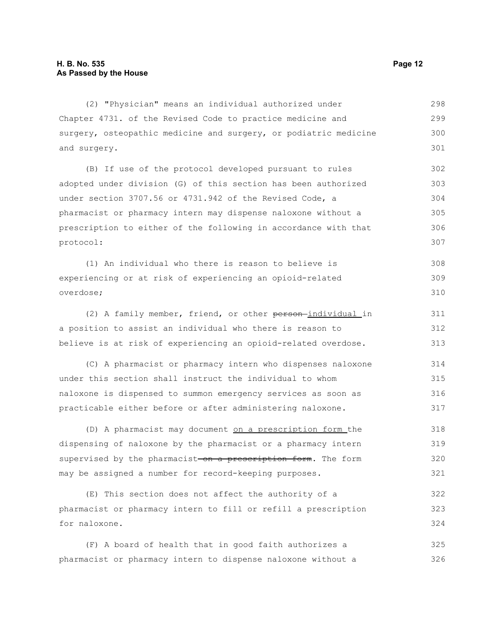(2) "Physician" means an individual authorized under Chapter 4731. of the Revised Code to practice medicine and surgery, osteopathic medicine and surgery, or podiatric medicine and surgery. 298 299 300 301

(B) If use of the protocol developed pursuant to rules adopted under division (G) of this section has been authorized under section 3707.56 or 4731.942 of the Revised Code, a pharmacist or pharmacy intern may dispense naloxone without a prescription to either of the following in accordance with that protocol: 302 303 304 305 306 307

(1) An individual who there is reason to believe is experiencing or at risk of experiencing an opioid-related overdose; 308 309 310

(2) A family member, friend, or other person individual in a position to assist an individual who there is reason to believe is at risk of experiencing an opioid-related overdose. 311 312 313

(C) A pharmacist or pharmacy intern who dispenses naloxone under this section shall instruct the individual to whom naloxone is dispensed to summon emergency services as soon as practicable either before or after administering naloxone. 314 315 316 317

(D) A pharmacist may document on a prescription form the dispensing of naloxone by the pharmacist or a pharmacy intern supervised by the pharmacist on a prescription form. The form may be assigned a number for record-keeping purposes. 318 319 320 321

(E) This section does not affect the authority of a pharmacist or pharmacy intern to fill or refill a prescription for naloxone. 322 323 324

(F) A board of health that in good faith authorizes a pharmacist or pharmacy intern to dispense naloxone without a 325 326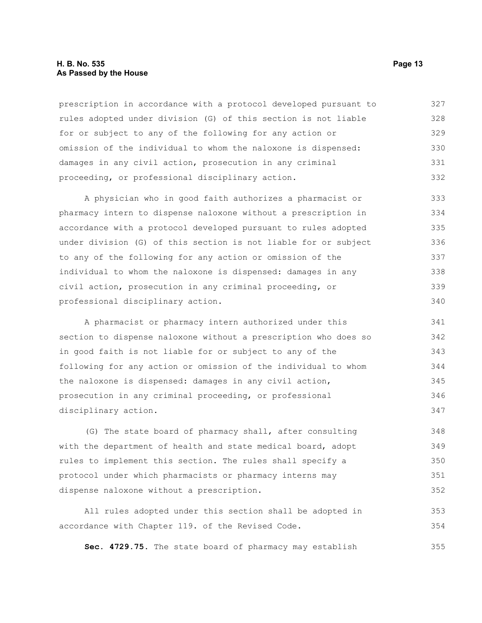#### **H. B. No. 535 Page 13 As Passed by the House**

prescription in accordance with a protocol developed pursuant to rules adopted under division (G) of this section is not liable for or subject to any of the following for any action or omission of the individual to whom the naloxone is dispensed: damages in any civil action, prosecution in any criminal proceeding, or professional disciplinary action. 327 328 329 330 331 332

A physician who in good faith authorizes a pharmacist or pharmacy intern to dispense naloxone without a prescription in accordance with a protocol developed pursuant to rules adopted under division (G) of this section is not liable for or subject to any of the following for any action or omission of the individual to whom the naloxone is dispensed: damages in any civil action, prosecution in any criminal proceeding, or professional disciplinary action. 333 334 335 336 337 338 339 340

A pharmacist or pharmacy intern authorized under this section to dispense naloxone without a prescription who does so in good faith is not liable for or subject to any of the following for any action or omission of the individual to whom the naloxone is dispensed: damages in any civil action, prosecution in any criminal proceeding, or professional disciplinary action. 341 342 343 344 345 346 347

(G) The state board of pharmacy shall, after consulting with the department of health and state medical board, adopt rules to implement this section. The rules shall specify a protocol under which pharmacists or pharmacy interns may dispense naloxone without a prescription. 348 349 350 351 352

All rules adopted under this section shall be adopted in accordance with Chapter 119. of the Revised Code. 353 354

**Sec. 4729.75.** The state board of pharmacy may establish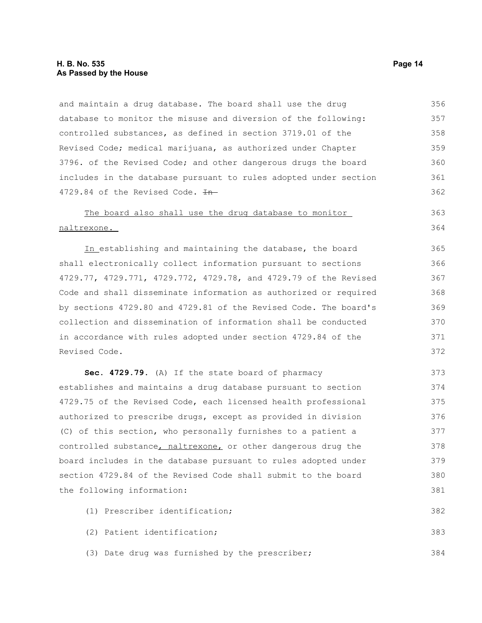### **H. B. No. 535 Page 14 As Passed by the House**

and maintain a drug database. The board shall use the drug database to monitor the misuse and diversion of the following: controlled substances, as defined in section 3719.01 of the Revised Code; medical marijuana, as authorized under Chapter 3796. of the Revised Code; and other dangerous drugs the board includes in the database pursuant to rules adopted under section 4729.84 of the Revised Code.  $H$ -356 357 358 359 360 361 362

#### The board also shall use the drug database to monitor naltrexone. 363 364

 In establishing and maintaining the database, the board shall electronically collect information pursuant to sections 4729.77, 4729.771, 4729.772, 4729.78, and 4729.79 of the Revised Code and shall disseminate information as authorized or required by sections 4729.80 and 4729.81 of the Revised Code. The board's collection and dissemination of information shall be conducted in accordance with rules adopted under section 4729.84 of the Revised Code. 365 366 367 368 369 370 371 372

**Sec. 4729.79.** (A) If the state board of pharmacy establishes and maintains a drug database pursuant to section 4729.75 of the Revised Code, each licensed health professional authorized to prescribe drugs, except as provided in division (C) of this section, who personally furnishes to a patient a controlled substance, naltrexone, or other dangerous drug the board includes in the database pursuant to rules adopted under section 4729.84 of the Revised Code shall submit to the board the following information: 373 374 375 376 377 378 379 380 381

- (1) Prescriber identification; 382
- (2) Patient identification; 383
- (3) Date drug was furnished by the prescriber;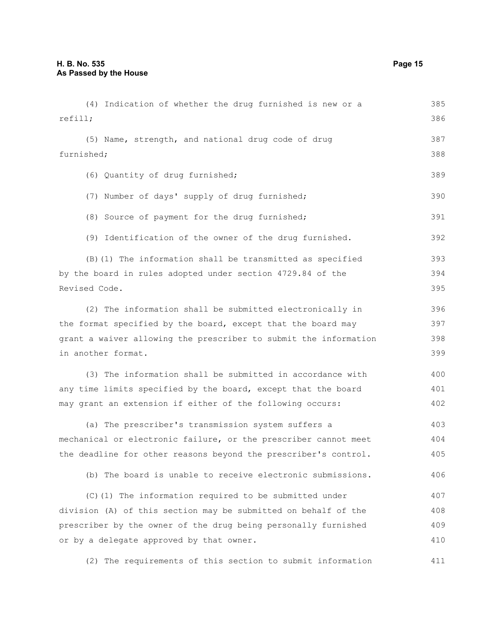(4) Indication of whether the drug furnished is new or a refill; (5) Name, strength, and national drug code of drug furnished; (6) Quantity of drug furnished; (7) Number of days' supply of drug furnished; (8) Source of payment for the drug furnished; (9) Identification of the owner of the drug furnished. (B)(1) The information shall be transmitted as specified by the board in rules adopted under section 4729.84 of the Revised Code. (2) The information shall be submitted electronically in the format specified by the board, except that the board may grant a waiver allowing the prescriber to submit the information in another format. (3) The information shall be submitted in accordance with any time limits specified by the board, except that the board may grant an extension if either of the following occurs: (a) The prescriber's transmission system suffers a mechanical or electronic failure, or the prescriber cannot meet the deadline for other reasons beyond the prescriber's control. (b) The board is unable to receive electronic submissions. (C)(1) The information required to be submitted under division (A) of this section may be submitted on behalf of the prescriber by the owner of the drug being personally furnished or by a delegate approved by that owner. 385 386 387 388 389 390 391 392 393 394 395 396 397 398 399 400 401 402 403 404 405 406 407 408 409 410

(2) The requirements of this section to submit information 411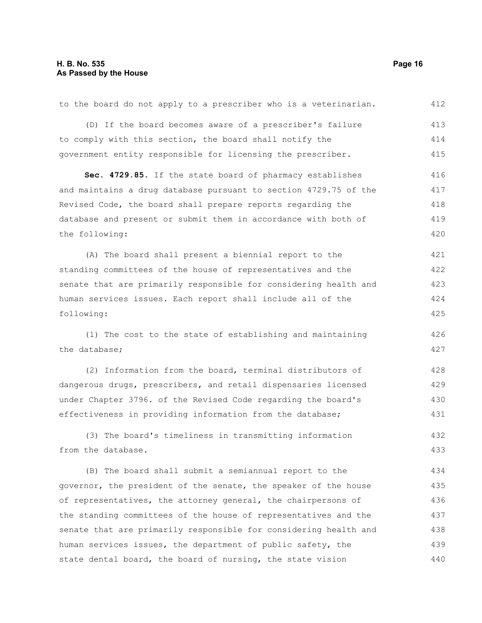| to the board do not apply to a prescriber who is a veterinarian. | 412 |
|------------------------------------------------------------------|-----|
| (D) If the board becomes aware of a prescriber's failure         | 413 |
| to comply with this section, the board shall notify the          | 414 |
| government entity responsible for licensing the prescriber.      | 415 |
| Sec. 4729.85. If the state board of pharmacy establishes         | 416 |
| and maintains a drug database pursuant to section 4729.75 of the | 417 |
| Revised Code, the board shall prepare reports regarding the      | 418 |
| database and present or submit them in accordance with both of   | 419 |
| the following:                                                   | 420 |
| (A) The board shall present a biennial report to the             | 421 |
| standing committees of the house of representatives and the      | 422 |
| senate that are primarily responsible for considering health and | 423 |
| human services issues. Each report shall include all of the      | 424 |
| following:                                                       | 425 |
|                                                                  |     |
| (1) The cost to the state of establishing and maintaining        | 426 |
| the database;                                                    | 427 |
| (2) Information from the board, terminal distributors of         | 428 |
| dangerous drugs, prescribers, and retail dispensaries licensed   | 429 |
| under Chapter 3796. of the Revised Code regarding the board's    | 430 |
| effectiveness in providing information from the database;        | 431 |
| (3) The board's timeliness in transmitting information           | 432 |
| from the database.                                               | 433 |
| (B) The board shall submit a semiannual report to the            | 434 |
| governor, the president of the senate, the speaker of the house  | 435 |
| of representatives, the attorney general, the chairpersons of    | 436 |
| the standing committees of the house of representatives and the  | 437 |
| senate that are primarily responsible for considering health and | 438 |

state dental board, the board of nursing, the state vision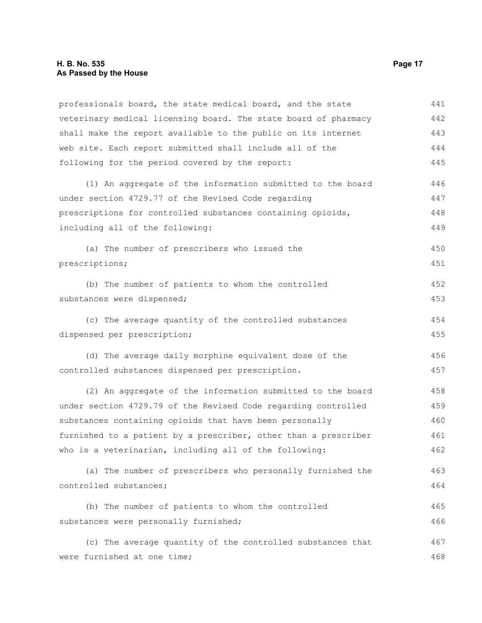#### **H. B. No. 535 Page 17 As Passed by the House**

professionals board, the state medical board, and the state veterinary medical licensing board. The state board of pharmacy shall make the report available to the public on its internet web site. Each report submitted shall include all of the following for the period covered by the report: (1) An aggregate of the information submitted to the board under section 4729.77 of the Revised Code regarding prescriptions for controlled substances containing opioids, including all of the following: (a) The number of prescribers who issued the prescriptions; (b) The number of patients to whom the controlled substances were dispensed; (c) The average quantity of the controlled substances dispensed per prescription; (d) The average daily morphine equivalent dose of the controlled substances dispensed per prescription. (2) An aggregate of the information submitted to the board under section 4729.79 of the Revised Code regarding controlled substances containing opioids that have been personally furnished to a patient by a prescriber, other than a prescriber who is a veterinarian, including all of the following: (a) The number of prescribers who personally furnished the controlled substances; (b) The number of patients to whom the controlled substances were personally furnished; (c) The average quantity of the controlled substances that were furnished at one time; 441 442 443 444 445 446 447 448 449 450 451 452 453 454 455 456 457 458 459 460 461 462 463 464 465 466 467 468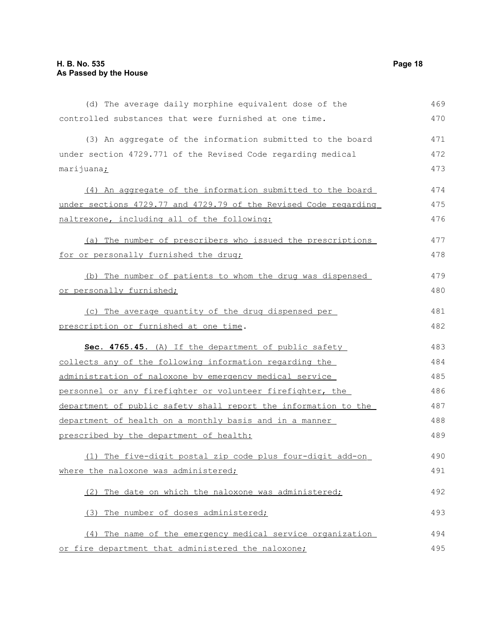controlled substances that were furnished at one time.

| (3) An aggregate of the information submitted to the board       | 471 |
|------------------------------------------------------------------|-----|
| under section 4729.771 of the Revised Code regarding medical     | 472 |
| marijuana <u>;</u>                                               | 473 |
| (4) An aggregate of the information submitted to the board       | 474 |
| under sections 4729.77 and 4729.79 of the Revised Code regarding | 475 |
| naltrexone, including all of the following:                      | 476 |
| (a) The number of prescribers who issued the prescriptions       | 477 |
| for or personally furnished the drug;                            | 478 |
| (b) The number of patients to whom the drug was dispensed        | 479 |
| or personally furnished;                                         | 480 |
| (c) The average quantity of the drug dispensed per               | 481 |
| prescription or furnished at one time.                           | 482 |
| Sec. 4765.45. (A) If the department of public safety             | 483 |
| collects any of the following information regarding the          | 484 |
| administration of naloxone by emergency medical service          | 485 |
| personnel or any firefighter or volunteer firefighter, the       | 486 |
| department of public safety shall report the information to the  | 487 |
| department of health on a monthly basis and in a manner          | 488 |
| prescribed by the department of health:                          | 489 |
| (1) The five-digit postal zip code plus four-digit add-on        | 490 |
| where the naloxone was administered;                             | 491 |
| (2) The date on which the naloxone was administered;             | 492 |
| The number of doses administered;<br>(3)                         | 493 |
| (4) The name of the emergency medical service organization       | 494 |
| or fire department that administered the naloxone;               | 495 |